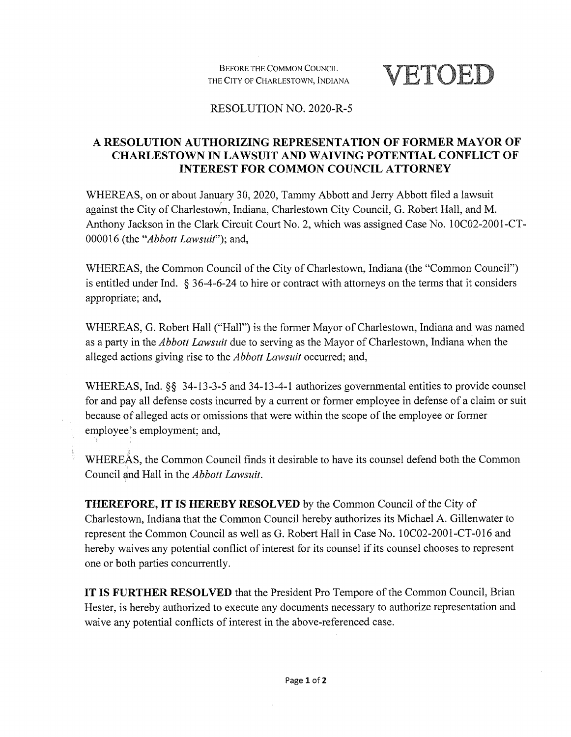Before the Common Council THE City of Charlestown, Indiana **VETOED**

## RESOLUTION NO. 2020-R-5

## **A RESOLUTION AUTHORIZING REPRESENTATION OF FORMER MAYOR OF CHARLESTOWN IN LAWSUIT AND WAIVING POTENTIAL CONFLICT OF INTEREST FOR COMMON COUNCIL ATTORNEY**

WHEREAS, on or about January 30, 2020, Tammy Abbott and Jerry Abbott filed a lawsuit against the City of Charlestown, Indiana, Charlestown City Council, G. Robert Hall, and M. Anthony Jackson in the Clark Circuit Court No. 2, which was assigned Case No. 10C02-2001-CT-000016 (the *"Abbott Lawsuif');* and,

WHEREAS, the Common Council of the City of Charlestown, Indiana (the "Common Council") is entitled under Ind. § 36-4-6-24 to hire or contract with attorneys on the terms that it considers appropriate; and,

WHEREAS, G. Robert Hall ("Hall") is the former Mayor of Charlestown, Indiana and was named as a party in the *Abbott Lawsuit* due to serving as the Mayor of Charlestown, Indiana when the alleged actions giving rise to the *Abbott Lawsuit* occurred; and,

WHEREAS, Ind. §§ 34-13-3-5 and 34-13-4-1 authorizes governmental entities to provide counsel for and pay all defense costs incurred by a current or former employee in defense of a claim or suit because of alleged acts or omissions that were within the scope of the employee or former employee's employment; and,

WHEREAS, the Common Council finds it desirable to have its counsel defend both the Common Council and Hall in the *Abbott Lawsuit.*

**THEREFORE, IT IS HEREBY RESOLVED** by the Common Council of the City of Charlestown, Indiana that the Common Council hereby authorizes its Michael A. Gillenwater to represent the Common Council as well as G. Robert Hall in Case No. 10C02-2001-CT-016 and hereby waives any potential conflict of interest for its counsel if its counsel chooses to represent one or both parties concurrently.

**IT IS FURTHER RESOLVED** that the President Pro Tempore of the Common Council, Brian Hester, is hereby authorized to execute any documents necessary to authorize representation and waive any potential conflicts of interest in the above-referenced case.